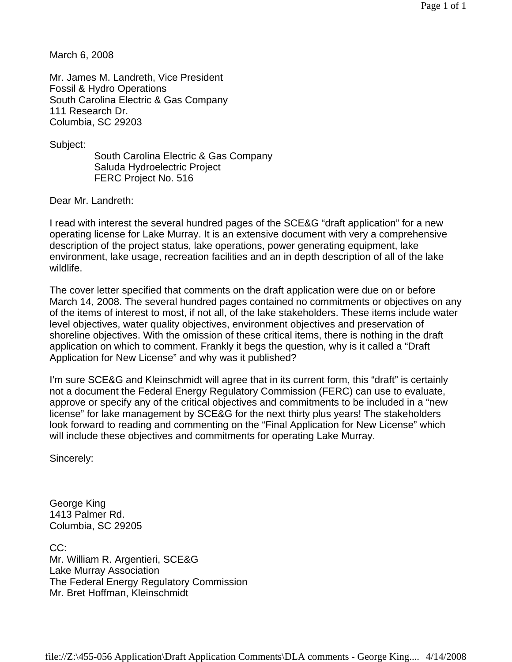March 6, 2008

Mr. James M. Landreth, Vice President Fossil & Hydro Operations South Carolina Electric & Gas Company 111 Research Dr. Columbia, SC 29203

Subject:

 South Carolina Electric & Gas Company Saluda Hydroelectric Project FERC Project No. 516

Dear Mr. Landreth:

I read with interest the several hundred pages of the SCE&G "draft application" for a new operating license for Lake Murray. It is an extensive document with very a comprehensive description of the project status, lake operations, power generating equipment, lake environment, lake usage, recreation facilities and an in depth description of all of the lake wildlife.

The cover letter specified that comments on the draft application were due on or before March 14, 2008. The several hundred pages contained no commitments or objectives on any of the items of interest to most, if not all, of the lake stakeholders. These items include water level objectives, water quality objectives, environment objectives and preservation of shoreline objectives. With the omission of these critical items, there is nothing in the draft application on which to comment. Frankly it begs the question, why is it called a "Draft Application for New License" and why was it published?

I'm sure SCE&G and Kleinschmidt will agree that in its current form, this "draft" is certainly not a document the Federal Energy Regulatory Commission (FERC) can use to evaluate, approve or specify any of the critical objectives and commitments to be included in a "new license" for lake management by SCE&G for the next thirty plus years! The stakeholders look forward to reading and commenting on the "Final Application for New License" which will include these objectives and commitments for operating Lake Murray.

Sincerely:

George King 1413 Palmer Rd. Columbia, SC 29205

CC: Mr. William R. Argentieri, SCE&G Lake Murray Association The Federal Energy Regulatory Commission Mr. Bret Hoffman, Kleinschmidt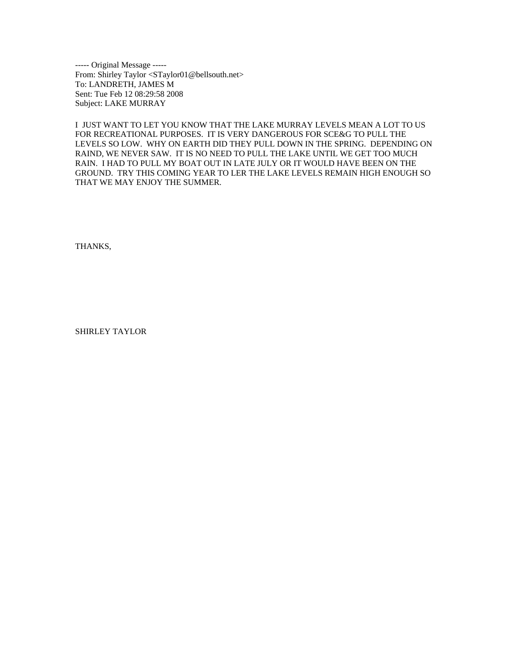----- Original Message -----<br>From: Shirley Taylor <STaylor01@bellsouth.net><br>To: LANDRETH, JAMES M<br>Sent: Tue Feb 12 08:29:58 2008<br>Subject: LAKE MURRAY

I JUST WANT TO LET YOU KNOW THAT THE LAKE MURRAY LEVELS MEAN A LOT TO US FOR RECREATIONAL PURPOSES. IT IS VERY DANGEROUS FOR SCE&G TO PULL THE LEVELS SO LOW. WHY ON EARTH DID THEY PULL DOWN IN THE SPRING. DEPENDING ON RAIND, WE NEVER SAW. IT IS NO NEED TO PULL THE LAKE UNTIL WE GET TOO MUCH RAIN. I HAD TO PULL MY BOAT OUT IN LATE JULY OR IT WOULD HAVE BEEN ON THE GROUND. TRY THIS COMING YEAR TO LER THE LAKE LEVELS REMAIN HIGH ENOUGH SO THAT WE MAY ENJOY THE SUMMER.

THANKS,

SHIRLEY TAYLOR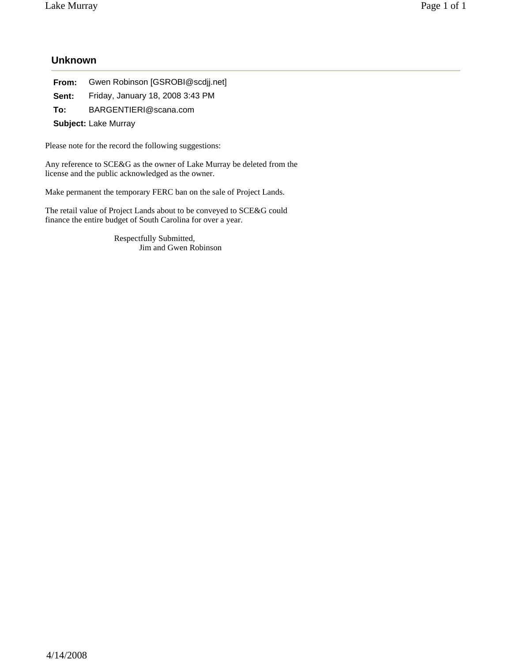## **Unknown**

**From:** Gwen Robinson [GSROBI@scdjj.net] **Sent:** Friday, January 18, 2008 3:43 PM

**To:** BARGENTIERI@scana.com

**Subject:** Lake Murray

Please note for the record the following suggestions:

Any reference to SCE&G as the owner of Lake Murray be deleted from the license and the public acknowledged as the owner.

Make permanent the temporary FERC ban on the sale of Project Lands.

The retail value of Project Lands about to be conveyed to SCE&G could finance the entire budget of South Carolina for over a year.

> Respectfully Submitted, Jim and Gwen Robinson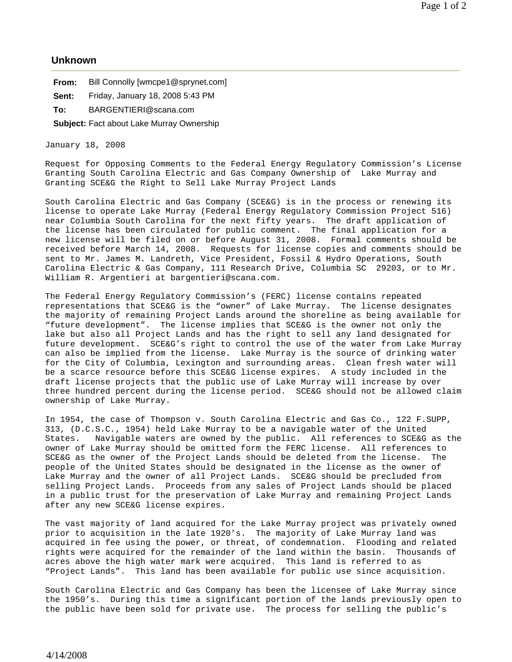## **Unknown**

**From:** Bill Connolly [wmcpe1@sprynet.com]

**Sent:** Friday, January 18, 2008 5:43 PM

**To:** BARGENTIERI@scana.com

**Subject:** Fact about Lake Murray Ownership

January 18, 2008

Request for Opposing Comments to the Federal Energy Regulatory Commission's License Granting South Carolina Electric and Gas Company Ownership of Lake Murray and Granting SCE&G the Right to Sell Lake Murray Project Lands

South Carolina Electric and Gas Company (SCE&G) is in the process or renewing its license to operate Lake Murray (Federal Energy Regulatory Commission Project 516) near Columbia South Carolina for the next fifty years. The draft application of the license has been circulated for public comment. The final application for a new license will be filed on or before August 31, 2008. Formal comments should be received before March 14, 2008. Requests for license copies and comments should be sent to Mr. James M. Landreth, Vice President, Fossil & Hydro Operations, South Carolina Electric & Gas Company, 111 Research Drive, Columbia SC 29203, or to Mr. William R. Argentieri at bargentieri@scana.com.

The Federal Energy Regulatory Commission's (FERC) license contains repeated representations that SCE&G is the "owner" of Lake Murray. The license designates the majority of remaining Project Lands around the shoreline as being available for "future development". The license implies that SCE&G is the owner not only the lake but also all Project Lands and has the right to sell any land designated for future development. SCE&G's right to control the use of the water from Lake Murray can also be implied from the license. Lake Murray is the source of drinking water for the City of Columbia, Lexington and surrounding areas. Clean fresh water will be a scarce resource before this SCE&G license expires. A study included in the draft license projects that the public use of Lake Murray will increase by over three hundred percent during the license period. SCE&G should not be allowed claim ownership of Lake Murray.

In 1954, the case of Thompson v. South Carolina Electric and Gas Co., 122 F.SUPP, 313, (D.C.S.C., 1954) held Lake Murray to be a navigable water of the United States. Navigable waters are owned by the public. All references to SCE&G as the owner of Lake Murray should be omitted form the FERC license. All references to SCE&G as the owner of the Project Lands should be deleted from the license. The people of the United States should be designated in the license as the owner of Lake Murray and the owner of all Project Lands. SCE&G should be precluded from selling Project Lands. Proceeds from any sales of Project Lands should be placed in a public trust for the preservation of Lake Murray and remaining Project Lands after any new SCE&G license expires.

The vast majority of land acquired for the Lake Murray project was privately owned prior to acquisition in the late 1920's. The majority of Lake Murray land was acquired in fee using the power, or threat, of condemnation. Flooding and related rights were acquired for the remainder of the land within the basin. Thousands of acres above the high water mark were acquired. This land is referred to as "Project Lands". This land has been available for public use since acquisition.

South Carolina Electric and Gas Company has been the licensee of Lake Murray since the 1950's. During this time a significant portion of the lands previously open to the public have been sold for private use. The process for selling the public's